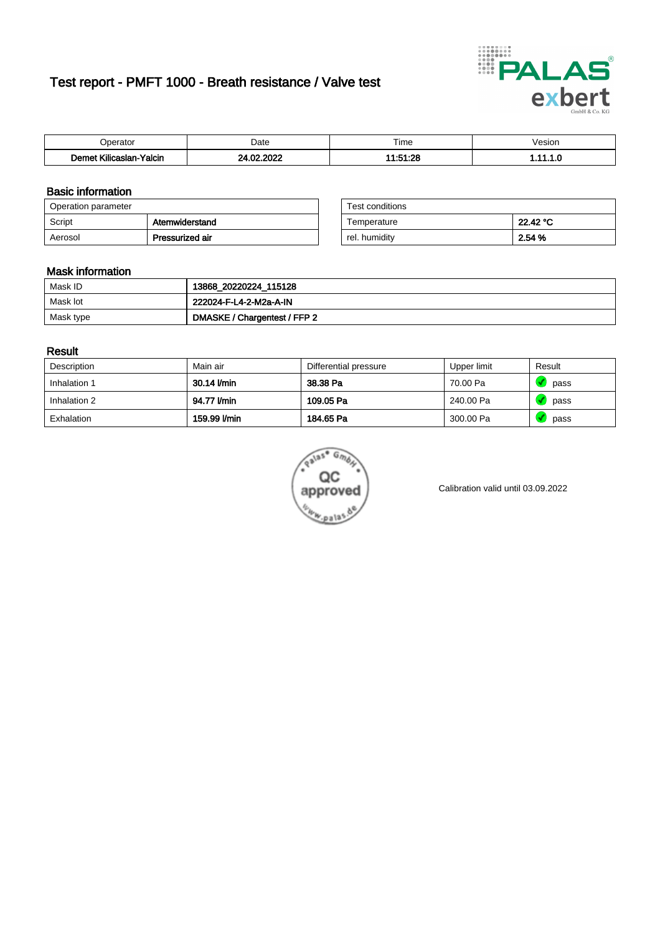# Test report - PMFT 1000 - Breath resistance / Valve test



| berator                                                     | Date                   | $- \cdot$<br>. ime     | /esion |
|-------------------------------------------------------------|------------------------|------------------------|--------|
| <b>ALC: UNK</b><br>10 <sub>m</sub><br>Yalcin<br>Kilicaslan- | , nnac<br>- CO<br>'UZ. | 11.51.09<br>02. ا ن. ا | .      |

### Basic information

| Operation parameter |                 | Test conditions |          |
|---------------------|-----------------|-----------------|----------|
| Script              | Atemwiderstand  | Temperature     | 22.42 °C |
| Aerosol             | Pressurized air | rel, humidity   | 2.54 %   |

| Test conditions |          |
|-----------------|----------|
| Temperature     | 22.42 °C |
| rel. humidity   | 2.54 %   |

### Mask information

| Mask ID   | 13868_20220224_115128        |
|-----------|------------------------------|
| Mask lot  | 222024-F-L4-2-M2a-A-IN       |
| Mask type | DMASKE / Chargentest / FFP 2 |

### Result

| Description  | Main air     | Differential pressure | Upper limit | Result |
|--------------|--------------|-----------------------|-------------|--------|
| Inhalation 1 | 30.14 l/min  | 38.38 Pa              | 70.00 Pa    | pass   |
| Inhalation 2 | 94.77 l/min  | 109.05 Pa             | 240.00 Pa   | pass   |
| Exhalation   | 159.99 I/min | 184.65 Pa             | 300.00 Pa   | pass   |



Calibration valid until 03.09.2022